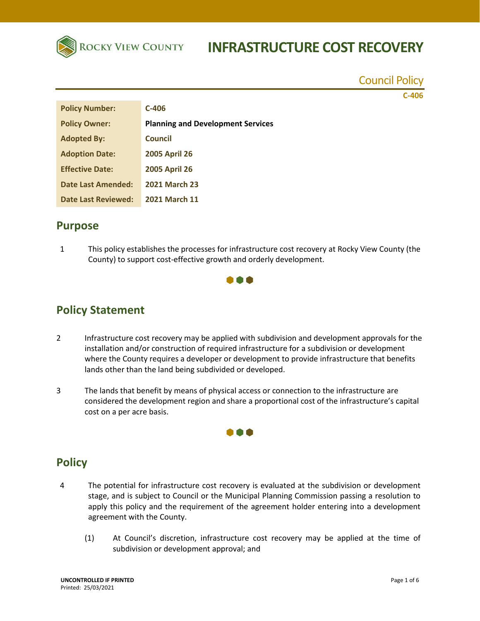

Council Policy

**C-406**

| <b>Policy Number:</b>     | $C-406$                                  |
|---------------------------|------------------------------------------|
| <b>Policy Owner:</b>      | <b>Planning and Development Services</b> |
| <b>Adopted By:</b>        | Council                                  |
| <b>Adoption Date:</b>     | <b>2005 April 26</b>                     |
| <b>Effective Date:</b>    | <b>2005 April 26</b>                     |
| <b>Date Last Amended:</b> | <b>2021 March 23</b>                     |
| Date Last Reviewed:       | <b>2021 March 11</b>                     |

### **Purpose**

1 This policy establishes the processes for infrastructure cost recovery at Rocky View County (the County) to support cost-effective growth and orderly development.



# **Policy Statement**

- 2 Infrastructure cost recovery may be applied with subdivision and development approvals for the installation and/or construction of required infrastructure for a subdivision or development where the County requires a developer or development to provide infrastructure that benefits lands other than the land being subdivided or developed.
- 3 The lands that benefit by means of physical access or connection to the infrastructure are considered the development region and share a proportional cost of the infrastructure's capital cost on a per acre basis.



## **Policy**

- 4 The potential for infrastructure cost recovery is evaluated at the subdivision or development stage, and is subject to Council or the Municipal Planning Commission passing a resolution to apply this policy and the requirement of the agreement holder entering into a development agreement with the County.
	- (1) At Council's discretion, infrastructure cost recovery may be applied at the time of subdivision or development approval; and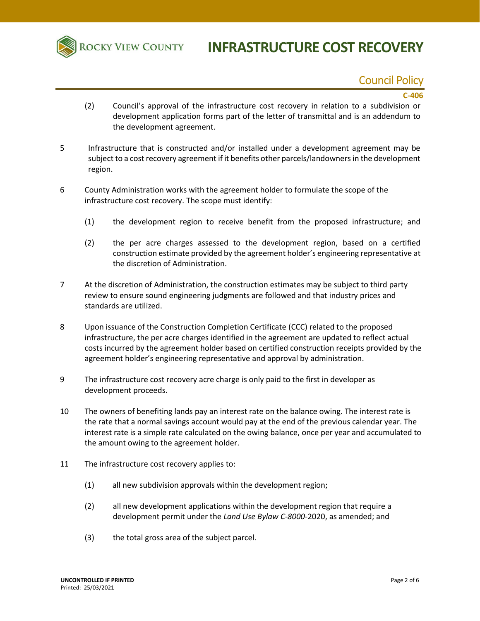

## Council Policy

#### **C-406**

- (2) Council's approval of the infrastructure cost recovery in relation to a subdivision or development application forms part of the letter of transmittal and is an addendum to the development agreement.
- 5 Infrastructure that is constructed and/or installed under a development agreement may be subject to a cost recovery agreement if it benefits other parcels/landowners in the development region.
- 6 County Administration works with the agreement holder to formulate the scope of the infrastructure cost recovery. The scope must identify:
	- (1) the development region to receive benefit from the proposed infrastructure; and
	- (2) the per acre charges assessed to the development region, based on a certified construction estimate provided by the agreement holder's engineering representative at the discretion of Administration.
- 7 At the discretion of Administration, the construction estimates may be subject to third party review to ensure sound engineering judgments are followed and that industry prices and standards are utilized.
- 8 Upon issuance of the Construction Completion Certificate (CCC) related to the proposed infrastructure, the per acre charges identified in the agreement are updated to reflect actual costs incurred by the agreement holder based on certified construction receipts provided by the agreement holder's engineering representative and approval by administration.
- 9 The infrastructure cost recovery acre charge is only paid to the first in developer as development proceeds.
- 10 The owners of benefiting lands pay an interest rate on the balance owing. The interest rate is the rate that a normal savings account would pay at the end of the previous calendar year. The interest rate is a simple rate calculated on the owing balance, once per year and accumulated to the amount owing to the agreement holder.
- 11 The infrastructure cost recovery applies to:
	- (1) all new subdivision approvals within the development region;
	- (2) all new development applications within the development region that require a development permit under the *Land Use Bylaw C-8000-*2020, as amended; and
	- (3) the total gross area of the subject parcel.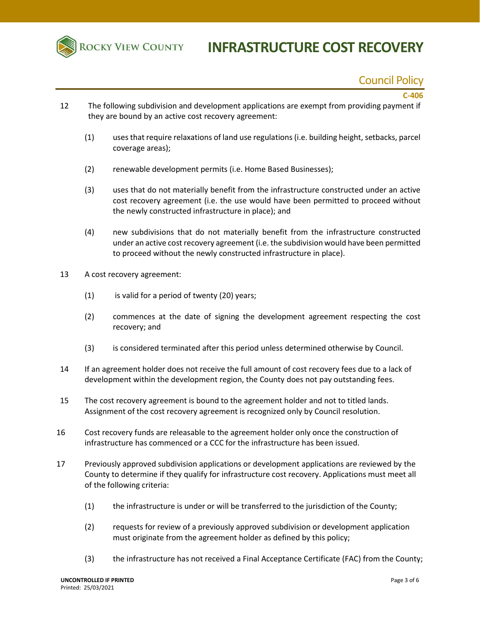

## Council Policy

#### **C-406**

- 12 The following subdivision and development applications are exempt from providing payment if they are bound by an active cost recovery agreement:
	- (1) uses that require relaxations of land use regulations (i.e. building height, setbacks, parcel coverage areas);
	- (2) renewable development permits (i.e. Home Based Businesses);
	- (3) uses that do not materially benefit from the infrastructure constructed under an active cost recovery agreement (i.e. the use would have been permitted to proceed without the newly constructed infrastructure in place); and
	- (4) new subdivisions that do not materially benefit from the infrastructure constructed under an active cost recovery agreement (i.e. the subdivision would have been permitted to proceed without the newly constructed infrastructure in place).
- 13 A cost recovery agreement:
	- $(1)$  is valid for a period of twenty  $(20)$  years;
	- (2) commences at the date of signing the development agreement respecting the cost recovery; and
	- (3) is considered terminated after this period unless determined otherwise by Council.
- 14 If an agreement holder does not receive the full amount of cost recovery fees due to a lack of development within the development region, the County does not pay outstanding fees.
- 15 The cost recovery agreement is bound to the agreement holder and not to titled lands. Assignment of the cost recovery agreement is recognized only by Council resolution.
- 16 Cost recovery funds are releasable to the agreement holder only once the construction of infrastructure has commenced or a CCC for the infrastructure has been issued.
- 17 Previously approved subdivision applications or development applications are reviewed by the County to determine if they qualify for infrastructure cost recovery. Applications must meet all of the following criteria:
	- (1) the infrastructure is under or will be transferred to the jurisdiction of the County;
	- (2) requests for review of a previously approved subdivision or development application must originate from the agreement holder as defined by this policy;
	- (3) the infrastructure has not received a Final Acceptance Certificate (FAC) from the County;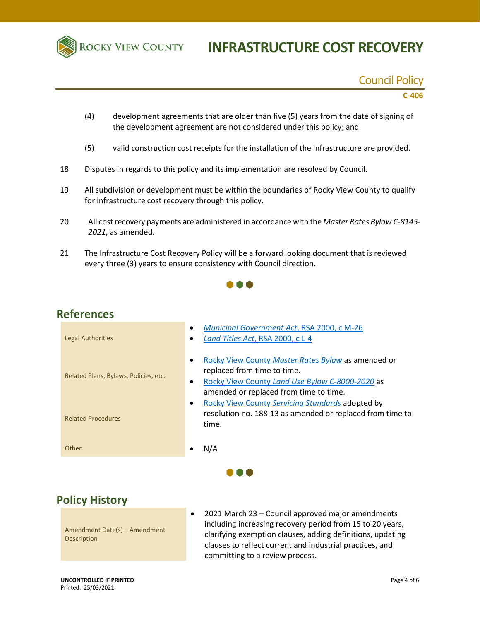

#### Council Policy

#### **C-406**

- (4) development agreements that are older than five (5) years from the date of signing of the development agreement are not considered under this policy; and
- (5) valid construction cost receipts for the installation of the infrastructure are provided.
- 18 Disputes in regards to this policy and its implementation are resolved by Council.
- 19 All subdivision or development must be within the boundaries of Rocky View County to qualify for infrastructure cost recovery through this policy.
- 20 All cost recovery payments are administered in accordance with the *Master Rates Bylaw C-8145- 2021*, as amended.
- 21 The Infrastructure Cost Recovery Policy will be a forward looking document that is reviewed every three (3) years to ensure consistency with Council direction.



### **References**

| Rocky View County Master Rates Bylaw as amended or<br>$\bullet$<br>replaced from time to time.<br>Related Plans, Bylaws, Policies, etc.<br>Rocky View County Land Use Bylaw C-8000-2020 as<br>$\bullet$<br>amended or replaced from time to time. |
|---------------------------------------------------------------------------------------------------------------------------------------------------------------------------------------------------------------------------------------------------|
| Rocky View County Servicing Standards adopted by<br>$\bullet$<br>resolution no. 188-13 as amended or replaced from time to<br><b>Related Procedures</b><br>time.                                                                                  |
| N/A<br>Other                                                                                                                                                                                                                                      |

â â â

## **Policy History**

Amendment Date(s) – Amendment Description

 2021 March 23 – Council approved major amendments including increasing recovery period from 15 to 20 years, clarifying exemption clauses, adding definitions, updating clauses to reflect current and industrial practices, and committing to a review process.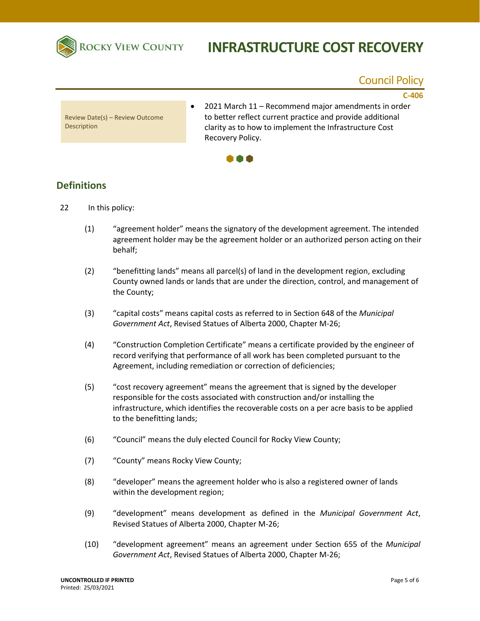

# **INFRASTRUCTURE COST RECOVERY**

### Council Policy

**C-406**

Review Date(s) – Review Outcome Description

 2021 March 11 – Recommend major amendments in order to better reflect current practice and provide additional clarity as to how to implement the Infrastructure Cost Recovery Policy.



#### **Definitions**

- 22 In this policy:
	- (1) "agreement holder" means the signatory of the development agreement. The intended agreement holder may be the agreement holder or an authorized person acting on their behalf;
	- (2) "benefitting lands" means all parcel(s) of land in the development region, excluding County owned lands or lands that are under the direction, control, and management of the County;
	- (3) "capital costs" means capital costs as referred to in Section 648 of the *Municipal Government Act*, Revised Statues of Alberta 2000, Chapter M-26;
	- (4) "Construction Completion Certificate" means a certificate provided by the engineer of record verifying that performance of all work has been completed pursuant to the Agreement, including remediation or correction of deficiencies;
	- (5) "cost recovery agreement" means the agreement that is signed by the developer responsible for the costs associated with construction and/or installing the infrastructure, which identifies the recoverable costs on a per acre basis to be applied to the benefitting lands;
	- (6) "Council" means the duly elected Council for Rocky View County;
	- (7) "County" means Rocky View County;
	- (8) "developer" means the agreement holder who is also a registered owner of lands within the development region;
	- (9) "development" means development as defined in the *Municipal Government Act*, Revised Statues of Alberta 2000, Chapter M-26;
	- (10) "development agreement" means an agreement under Section 655 of the *Municipal Government Act*, Revised Statues of Alberta 2000, Chapter M-26;